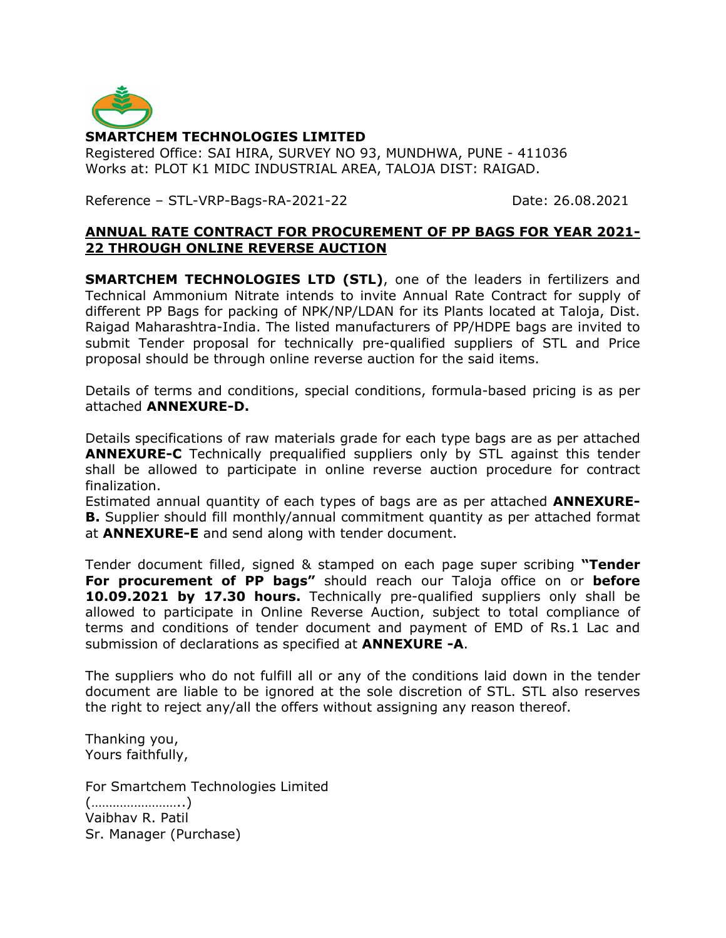

Registered Office: SAI HIRA, SURVEY NO 93, MUNDHWA, PUNE - 411036 Works at: PLOT K1 MIDC INDUSTRIAL AREA, TALOJA DIST: RAIGAD.

Reference – STL-VRP-Bags-RA-2021-22 Date: 26.08.2021

#### **ANNUAL RATE CONTRACT FOR PROCUREMENT OF PP BAGS FOR YEAR 2021- 22 THROUGH ONLINE REVERSE AUCTION**

**SMARTCHEM TECHNOLOGIES LTD (STL)**, one of the leaders in fertilizers and Technical Ammonium Nitrate intends to invite Annual Rate Contract for supply of different PP Bags for packing of NPK/NP/LDAN for its Plants located at Taloja, Dist. Raigad Maharashtra-India. The listed manufacturers of PP/HDPE bags are invited to submit Tender proposal for technically pre-qualified suppliers of STL and Price proposal should be through online reverse auction for the said items.

Details of terms and conditions, special conditions, formula-based pricing is as per attached **ANNEXURE-D.**

Details specifications of raw materials grade for each type bags are as per attached **ANNEXURE-C** Technically prequalified suppliers only by STL against this tender shall be allowed to participate in online reverse auction procedure for contract finalization.

Estimated annual quantity of each types of bags are as per attached **ANNEXURE-B.** Supplier should fill monthly/annual commitment quantity as per attached format at **ANNEXURE-E** and send along with tender document.

Tender document filled, signed & stamped on each page super scribing **"Tender For procurement of PP bags"** should reach our Taloja office on or **before 10.09.2021 by 17.30 hours.** Technically pre-qualified suppliers only shall be allowed to participate in Online Reverse Auction, subject to total compliance of terms and conditions of tender document and payment of EMD of Rs.1 Lac and submission of declarations as specified at **ANNEXURE -A**.

The suppliers who do not fulfill all or any of the conditions laid down in the tender document are liable to be ignored at the sole discretion of STL. STL also reserves the right to reject any/all the offers without assigning any reason thereof.

Thanking you, Yours faithfully,

For Smartchem Technologies Limited (……………………..) Vaibhav R. Patil Sr. Manager (Purchase)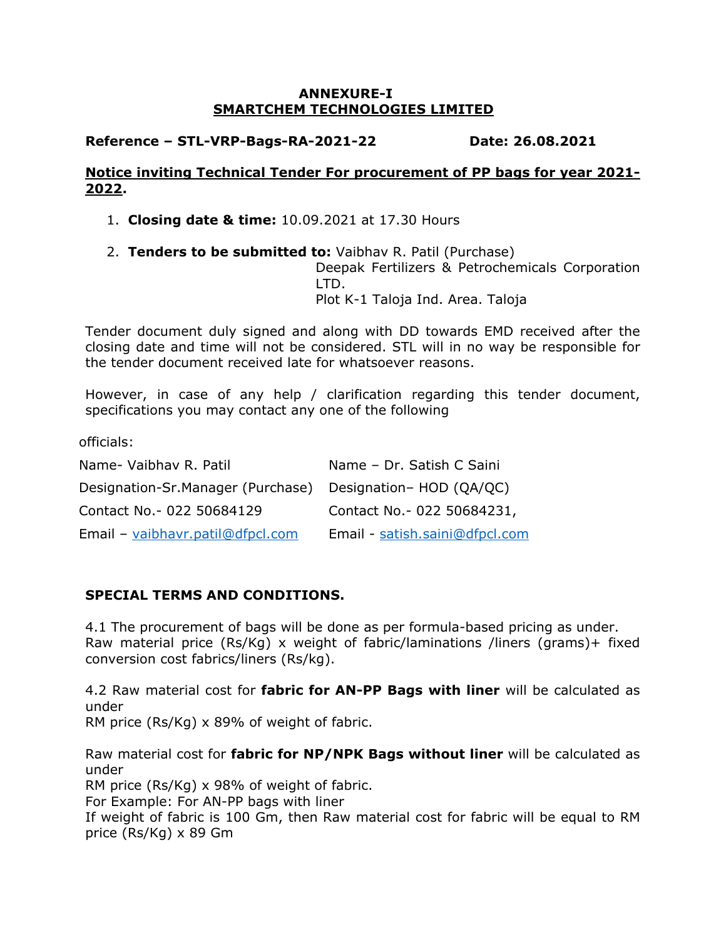#### **ANNEXURE-I SMARTCHEM TECHNOLOGIES LIMITED**

# **Reference – STL-VRP-Bags-RA-2021-22 Date: 26.08.2021**

## **Notice inviting Technical Tender For procurement of PP bags for year 2021- 2022.**

1. **Closing date & time:** 10.09.2021 at 17.30 Hours

2. **Tenders to be submitted to:** Vaibhav R. Patil (Purchase)

Deepak Fertilizers & Petrochemicals Corporation LTD. Plot K-1 Taloja Ind. Area. Taloja

Tender document duly signed and along with DD towards EMD received after the closing date and time will not be considered. STL will in no way be responsible for the tender document received late for whatsoever reasons.

However, in case of any help / clarification regarding this tender document, specifications you may contact any one of the following

officials:

| Name- Vaibhav R. Patil            | Name - Dr. Satish C Saini      |
|-----------------------------------|--------------------------------|
| Designation-Sr.Manager (Purchase) | Designation- HOD (QA/QC)       |
| Contact No. - 022 50684129        | Contact No. - 022 50684231,    |
| Email - vaibhavr.patil@dfpcl.com  | Email - satish.saini@dfpcl.com |

# **SPECIAL TERMS AND CONDITIONS.**

price (Rs/Kg) x 89 Gm

4.1 The procurement of bags will be done as per formula-based pricing as under. Raw material price (Rs/Kg) x weight of fabric/laminations /liners (grams)+ fixed conversion cost fabrics/liners (Rs/kg).

4.2 Raw material cost for **fabric for AN-PP Bags with liner** will be calculated as under RM price (Rs/Kg) x 89% of weight of fabric.

Raw material cost for **fabric for NP/NPK Bags without liner** will be calculated as under RM price (Rs/Kg) x 98% of weight of fabric. For Example: For AN-PP bags with liner If weight of fabric is 100 Gm, then Raw material cost for fabric will be equal to RM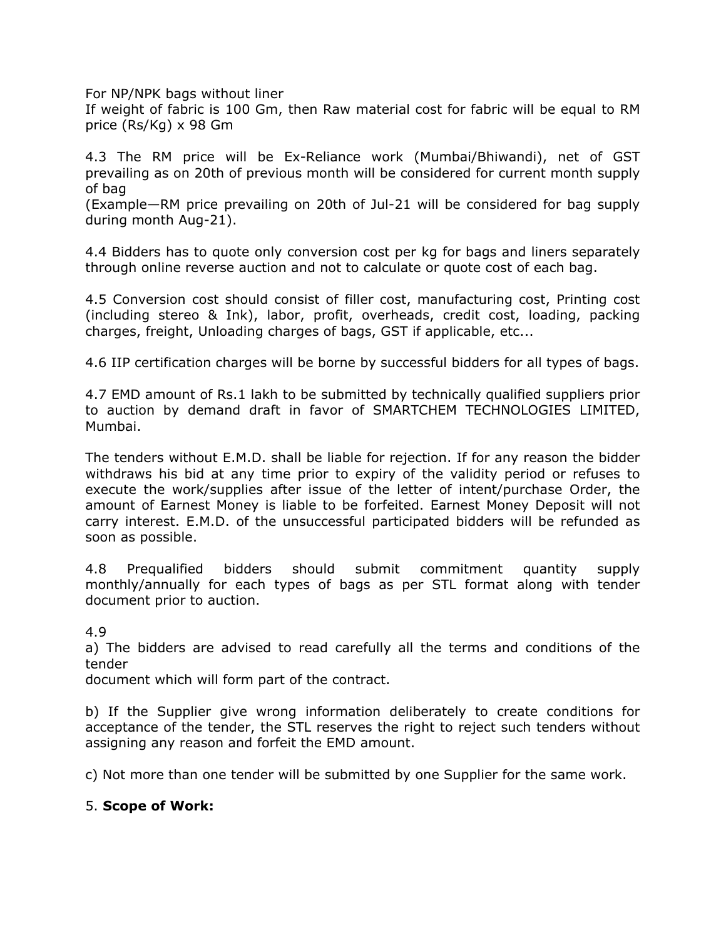For NP/NPK bags without liner

If weight of fabric is 100 Gm, then Raw material cost for fabric will be equal to RM price (Rs/Kg) x 98 Gm

4.3 The RM price will be Ex-Reliance work (Mumbai/Bhiwandi), net of GST prevailing as on 20th of previous month will be considered for current month supply of bag

(Example—RM price prevailing on 20th of Jul-21 will be considered for bag supply during month Aug-21).

4.4 Bidders has to quote only conversion cost per kg for bags and liners separately through online reverse auction and not to calculate or quote cost of each bag.

4.5 Conversion cost should consist of filler cost, manufacturing cost, Printing cost (including stereo & Ink), labor, profit, overheads, credit cost, loading, packing charges, freight, Unloading charges of bags, GST if applicable, etc...

4.6 IIP certification charges will be borne by successful bidders for all types of bags.

4.7 EMD amount of Rs.1 lakh to be submitted by technically qualified suppliers prior to auction by demand draft in favor of SMARTCHEM TECHNOLOGIES LIMITED, Mumbai.

The tenders without E.M.D. shall be liable for rejection. If for any reason the bidder withdraws his bid at any time prior to expiry of the validity period or refuses to execute the work/supplies after issue of the letter of intent/purchase Order, the amount of Earnest Money is liable to be forfeited. Earnest Money Deposit will not carry interest. E.M.D. of the unsuccessful participated bidders will be refunded as soon as possible.

4.8 Prequalified bidders should submit commitment quantity supply monthly/annually for each types of bags as per STL format along with tender document prior to auction.

4.9

a) The bidders are advised to read carefully all the terms and conditions of the tender

document which will form part of the contract.

b) If the Supplier give wrong information deliberately to create conditions for acceptance of the tender, the STL reserves the right to reject such tenders without assigning any reason and forfeit the EMD amount.

c) Not more than one tender will be submitted by one Supplier for the same work.

#### 5. **Scope of Work:**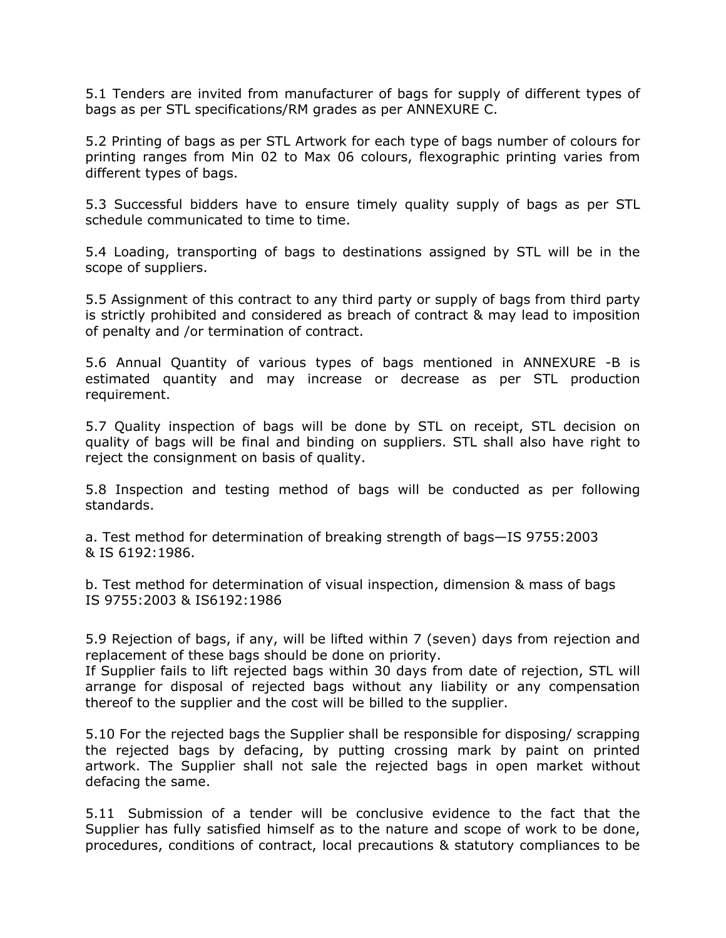5.1 Tenders are invited from manufacturer of bags for supply of different types of bags as per STL specifications/RM grades as per ANNEXURE C.

5.2 Printing of bags as per STL Artwork for each type of bags number of colours for printing ranges from Min 02 to Max 06 colours, flexographic printing varies from different types of bags.

5.3 Successful bidders have to ensure timely quality supply of bags as per STL schedule communicated to time to time.

5.4 Loading, transporting of bags to destinations assigned by STL will be in the scope of suppliers.

5.5 Assignment of this contract to any third party or supply of bags from third party is strictly prohibited and considered as breach of contract & may lead to imposition of penalty and /or termination of contract.

5.6 Annual Quantity of various types of bags mentioned in ANNEXURE -B is estimated quantity and may increase or decrease as per STL production requirement.

5.7 Quality inspection of bags will be done by STL on receipt, STL decision on quality of bags will be final and binding on suppliers. STL shall also have right to reject the consignment on basis of quality.

5.8 Inspection and testing method of bags will be conducted as per following standards.

a. Test method for determination of breaking strength of bags—IS 9755:2003 & IS 6192:1986.

b. Test method for determination of visual inspection, dimension & mass of bags IS 9755:2003 & IS6192:1986

5.9 Rejection of bags, if any, will be lifted within 7 (seven) days from rejection and replacement of these bags should be done on priority.

If Supplier fails to lift rejected bags within 30 days from date of rejection, STL will arrange for disposal of rejected bags without any liability or any compensation thereof to the supplier and the cost will be billed to the supplier.

5.10 For the rejected bags the Supplier shall be responsible for disposing/ scrapping the rejected bags by defacing, by putting crossing mark by paint on printed artwork. The Supplier shall not sale the rejected bags in open market without defacing the same.

5.11 Submission of a tender will be conclusive evidence to the fact that the Supplier has fully satisfied himself as to the nature and scope of work to be done, procedures, conditions of contract, local precautions & statutory compliances to be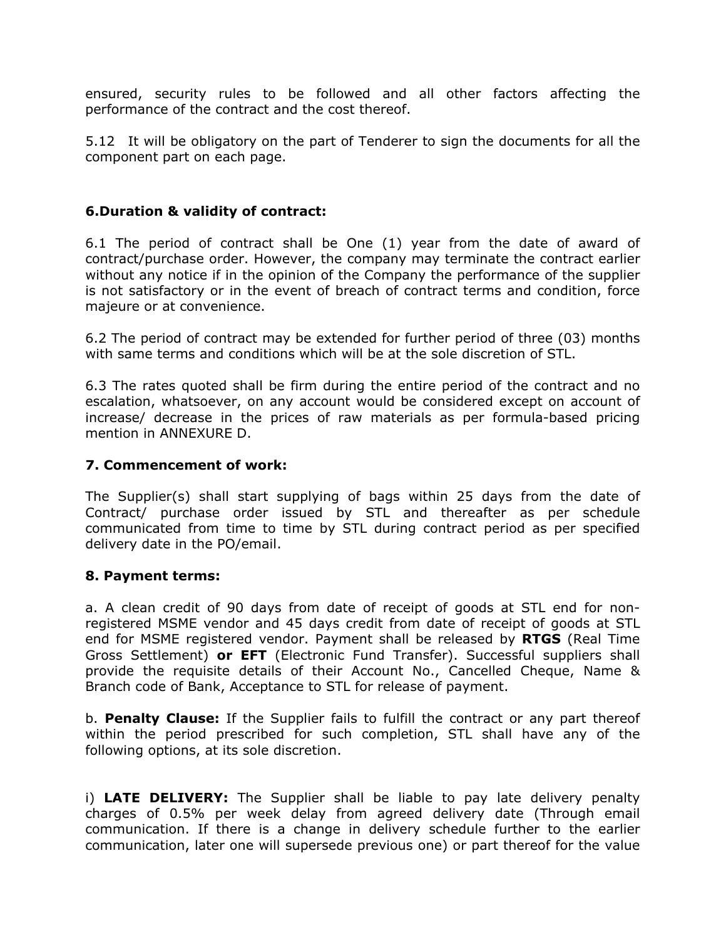ensured, security rules to be followed and all other factors affecting the performance of the contract and the cost thereof.

5.12 It will be obligatory on the part of Tenderer to sign the documents for all the component part on each page.

## **6.Duration & validity of contract:**

6.1 The period of contract shall be One (1) year from the date of award of contract/purchase order. However, the company may terminate the contract earlier without any notice if in the opinion of the Company the performance of the supplier is not satisfactory or in the event of breach of contract terms and condition, force majeure or at convenience.

6.2 The period of contract may be extended for further period of three (03) months with same terms and conditions which will be at the sole discretion of STL.

6.3 The rates quoted shall be firm during the entire period of the contract and no escalation, whatsoever, on any account would be considered except on account of increase/ decrease in the prices of raw materials as per formula-based pricing mention in ANNEXURE D.

#### **7. Commencement of work:**

The Supplier(s) shall start supplying of bags within 25 days from the date of Contract/ purchase order issued by STL and thereafter as per schedule communicated from time to time by STL during contract period as per specified delivery date in the PO/email.

#### **8. Payment terms:**

a. A clean credit of 90 days from date of receipt of goods at STL end for nonregistered MSME vendor and 45 days credit from date of receipt of goods at STL end for MSME registered vendor. Payment shall be released by **RTGS** (Real Time Gross Settlement) **or EFT** (Electronic Fund Transfer). Successful suppliers shall provide the requisite details of their Account No., Cancelled Cheque, Name & Branch code of Bank, Acceptance to STL for release of payment.

b. **Penalty Clause:** If the Supplier fails to fulfill the contract or any part thereof within the period prescribed for such completion, STL shall have any of the following options, at its sole discretion.

i) **LATE DELIVERY:** The Supplier shall be liable to pay late delivery penalty charges of 0.5% per week delay from agreed delivery date (Through email communication. If there is a change in delivery schedule further to the earlier communication, later one will supersede previous one) or part thereof for the value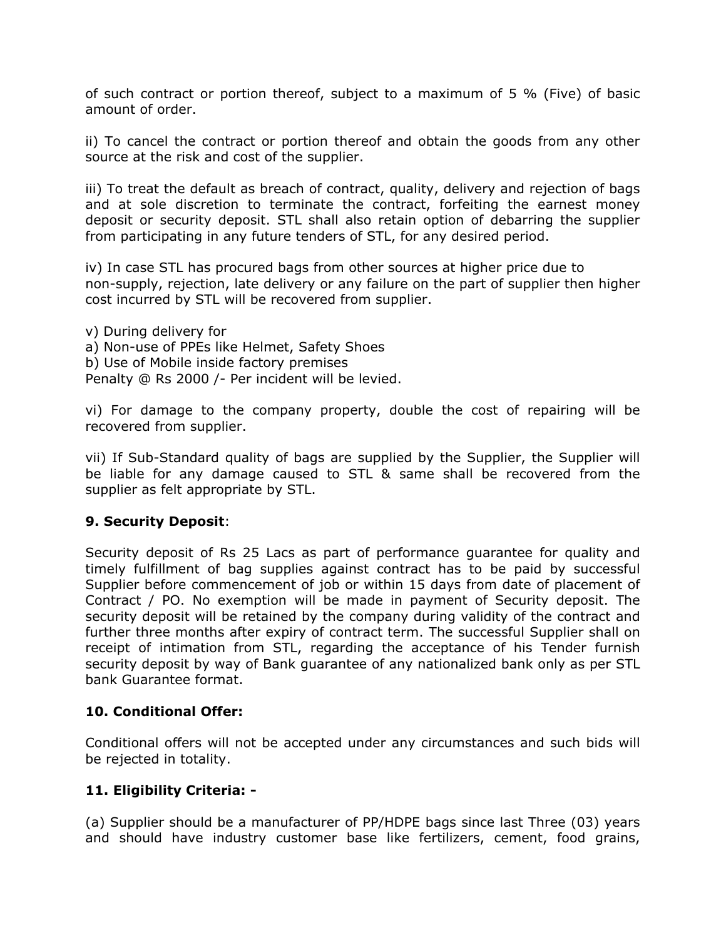of such contract or portion thereof, subject to a maximum of 5 % (Five) of basic amount of order.

ii) To cancel the contract or portion thereof and obtain the goods from any other source at the risk and cost of the supplier.

iii) To treat the default as breach of contract, quality, delivery and rejection of bags and at sole discretion to terminate the contract, forfeiting the earnest money deposit or security deposit. STL shall also retain option of debarring the supplier from participating in any future tenders of STL, for any desired period.

iv) In case STL has procured bags from other sources at higher price due to non-supply, rejection, late delivery or any failure on the part of supplier then higher cost incurred by STL will be recovered from supplier.

v) During delivery for a) Non-use of PPEs like Helmet, Safety Shoes b) Use of Mobile inside factory premises Penalty @ Rs 2000 /- Per incident will be levied.

vi) For damage to the company property, double the cost of repairing will be recovered from supplier.

vii) If Sub-Standard quality of bags are supplied by the Supplier, the Supplier will be liable for any damage caused to STL & same shall be recovered from the supplier as felt appropriate by STL.

## **9. Security Deposit**:

Security deposit of Rs 25 Lacs as part of performance guarantee for quality and timely fulfillment of bag supplies against contract has to be paid by successful Supplier before commencement of job or within 15 days from date of placement of Contract / PO. No exemption will be made in payment of Security deposit. The security deposit will be retained by the company during validity of the contract and further three months after expiry of contract term. The successful Supplier shall on receipt of intimation from STL, regarding the acceptance of his Tender furnish security deposit by way of Bank guarantee of any nationalized bank only as per STL bank Guarantee format.

## **10. Conditional Offer:**

Conditional offers will not be accepted under any circumstances and such bids will be rejected in totality.

## **11. Eligibility Criteria: -**

(a) Supplier should be a manufacturer of PP/HDPE bags since last Three (03) years and should have industry customer base like fertilizers, cement, food grains,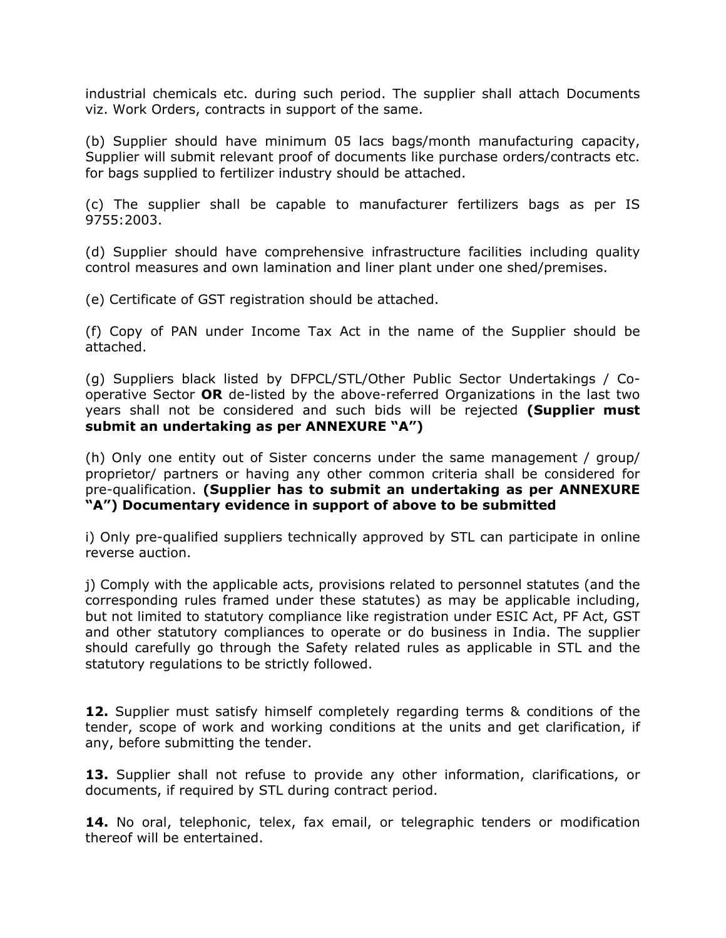industrial chemicals etc. during such period. The supplier shall attach Documents viz. Work Orders, contracts in support of the same.

(b) Supplier should have minimum 05 lacs bags/month manufacturing capacity, Supplier will submit relevant proof of documents like purchase orders/contracts etc. for bags supplied to fertilizer industry should be attached.

(c) The supplier shall be capable to manufacturer fertilizers bags as per IS 9755:2003.

(d) Supplier should have comprehensive infrastructure facilities including quality control measures and own lamination and liner plant under one shed/premises.

(e) Certificate of GST registration should be attached.

(f) Copy of PAN under Income Tax Act in the name of the Supplier should be attached.

(g) Suppliers black listed by DFPCL/STL/Other Public Sector Undertakings / Cooperative Sector **OR** de-listed by the above-referred Organizations in the last two years shall not be considered and such bids will be rejected **(Supplier must submit an undertaking as per ANNEXURE "A")** 

(h) Only one entity out of Sister concerns under the same management / group/ proprietor/ partners or having any other common criteria shall be considered for pre-qualification. **(Supplier has to submit an undertaking as per ANNEXURE "A") Documentary evidence in support of above to be submitted** 

i) Only pre-qualified suppliers technically approved by STL can participate in online reverse auction.

j) Comply with the applicable acts, provisions related to personnel statutes (and the corresponding rules framed under these statutes) as may be applicable including, but not limited to statutory compliance like registration under ESIC Act, PF Act, GST and other statutory compliances to operate or do business in India. The supplier should carefully go through the Safety related rules as applicable in STL and the statutory regulations to be strictly followed.

**12.** Supplier must satisfy himself completely regarding terms & conditions of the tender, scope of work and working conditions at the units and get clarification, if any, before submitting the tender.

**13.** Supplier shall not refuse to provide any other information, clarifications, or documents, if required by STL during contract period.

**14.** No oral, telephonic, telex, fax email, or telegraphic tenders or modification thereof will be entertained.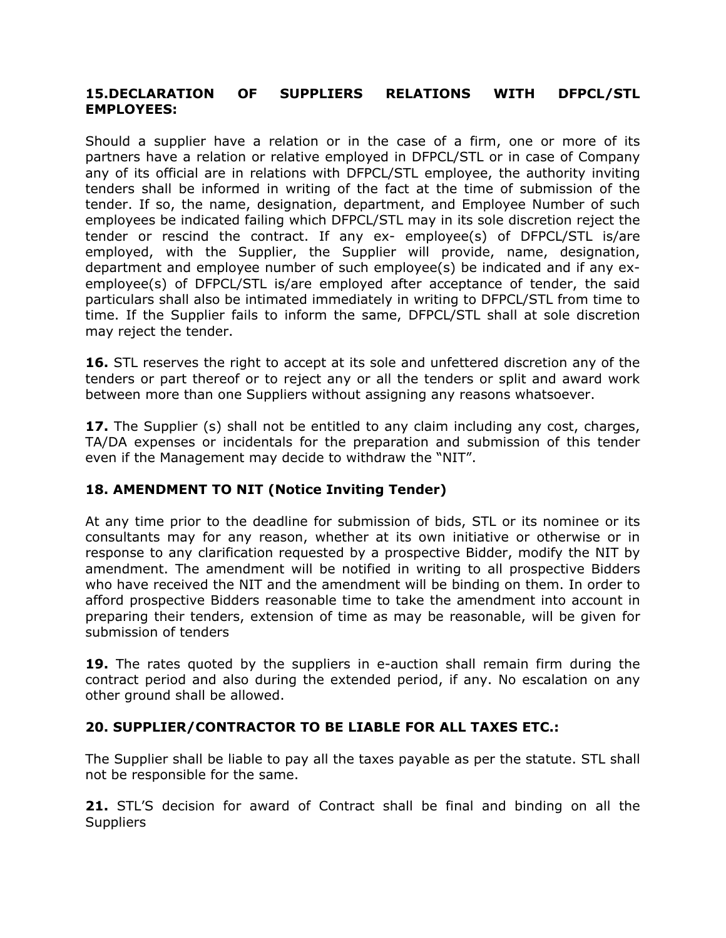## **15.DECLARATION OF SUPPLIERS RELATIONS WITH DFPCL/STL EMPLOYEES:**

Should a supplier have a relation or in the case of a firm, one or more of its partners have a relation or relative employed in DFPCL/STL or in case of Company any of its official are in relations with DFPCL/STL employee, the authority inviting tenders shall be informed in writing of the fact at the time of submission of the tender. If so, the name, designation, department, and Employee Number of such employees be indicated failing which DFPCL/STL may in its sole discretion reject the tender or rescind the contract. If any ex- employee(s) of DFPCL/STL is/are employed, with the Supplier, the Supplier will provide, name, designation, department and employee number of such employee(s) be indicated and if any exemployee(s) of DFPCL/STL is/are employed after acceptance of tender, the said particulars shall also be intimated immediately in writing to DFPCL/STL from time to time. If the Supplier fails to inform the same, DFPCL/STL shall at sole discretion may reject the tender.

**16.** STL reserves the right to accept at its sole and unfettered discretion any of the tenders or part thereof or to reject any or all the tenders or split and award work between more than one Suppliers without assigning any reasons whatsoever.

**17.** The Supplier (s) shall not be entitled to any claim including any cost, charges, TA/DA expenses or incidentals for the preparation and submission of this tender even if the Management may decide to withdraw the "NIT".

# **18. AMENDMENT TO NIT (Notice Inviting Tender)**

At any time prior to the deadline for submission of bids, STL or its nominee or its consultants may for any reason, whether at its own initiative or otherwise or in response to any clarification requested by a prospective Bidder, modify the NIT by amendment. The amendment will be notified in writing to all prospective Bidders who have received the NIT and the amendment will be binding on them. In order to afford prospective Bidders reasonable time to take the amendment into account in preparing their tenders, extension of time as may be reasonable, will be given for submission of tenders

**19.** The rates quoted by the suppliers in e-auction shall remain firm during the contract period and also during the extended period, if any. No escalation on any other ground shall be allowed.

# **20. SUPPLIER/CONTRACTOR TO BE LIABLE FOR ALL TAXES ETC.:**

The Supplier shall be liable to pay all the taxes payable as per the statute. STL shall not be responsible for the same.

**21.** STL'S decision for award of Contract shall be final and binding on all the **Suppliers**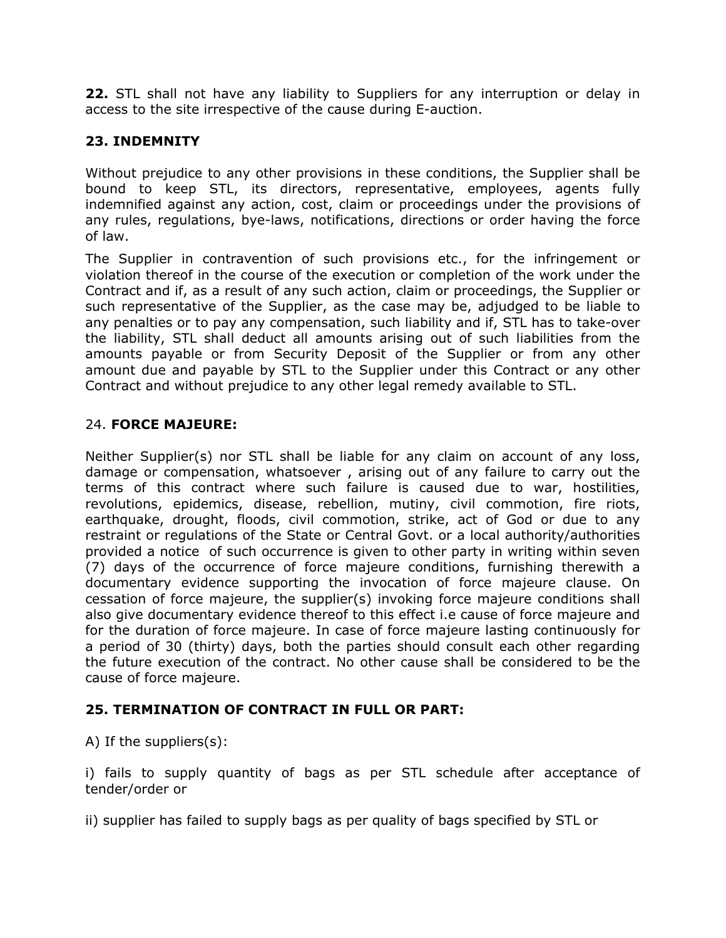**22.** STL shall not have any liability to Suppliers for any interruption or delay in access to the site irrespective of the cause during E-auction.

# **23. INDEMNITY**

Without prejudice to any other provisions in these conditions, the Supplier shall be bound to keep STL, its directors, representative, employees, agents fully indemnified against any action, cost, claim or proceedings under the provisions of any rules, regulations, bye-laws, notifications, directions or order having the force of law.

The Supplier in contravention of such provisions etc., for the infringement or violation thereof in the course of the execution or completion of the work under the Contract and if, as a result of any such action, claim or proceedings, the Supplier or such representative of the Supplier, as the case may be, adjudged to be liable to any penalties or to pay any compensation, such liability and if, STL has to take-over the liability, STL shall deduct all amounts arising out of such liabilities from the amounts payable or from Security Deposit of the Supplier or from any other amount due and payable by STL to the Supplier under this Contract or any other Contract and without prejudice to any other legal remedy available to STL.

# 24. **FORCE MAJEURE:**

Neither Supplier(s) nor STL shall be liable for any claim on account of any loss, damage or compensation, whatsoever , arising out of any failure to carry out the terms of this contract where such failure is caused due to war, hostilities, revolutions, epidemics, disease, rebellion, mutiny, civil commotion, fire riots, earthquake, drought, floods, civil commotion, strike, act of God or due to any restraint or regulations of the State or Central Govt. or a local authority/authorities provided a notice of such occurrence is given to other party in writing within seven (7) days of the occurrence of force majeure conditions, furnishing therewith a documentary evidence supporting the invocation of force majeure clause. On cessation of force majeure, the supplier(s) invoking force majeure conditions shall also give documentary evidence thereof to this effect i.e cause of force majeure and for the duration of force majeure. In case of force majeure lasting continuously for a period of 30 (thirty) days, both the parties should consult each other regarding the future execution of the contract. No other cause shall be considered to be the cause of force majeure.

# **25. TERMINATION OF CONTRACT IN FULL OR PART:**

A) If the suppliers(s):

i) fails to supply quantity of bags as per STL schedule after acceptance of tender/order or

ii) supplier has failed to supply bags as per quality of bags specified by STL or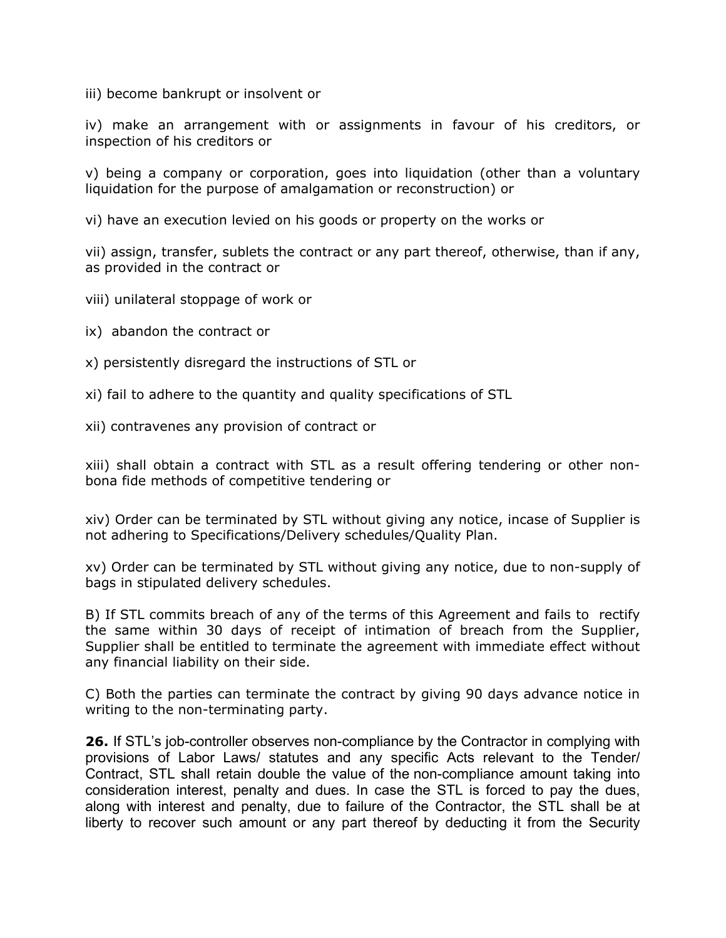iii) become bankrupt or insolvent or

iv) make an arrangement with or assignments in favour of his creditors, or inspection of his creditors or

v) being a company or corporation, goes into liquidation (other than a voluntary liquidation for the purpose of amalgamation or reconstruction) or

vi) have an execution levied on his goods or property on the works or

vii) assign, transfer, sublets the contract or any part thereof, otherwise, than if any, as provided in the contract or

- viii) unilateral stoppage of work or
- ix) abandon the contract or
- x) persistently disregard the instructions of STL or
- xi) fail to adhere to the quantity and quality specifications of STL
- xii) contravenes any provision of contract or

xiii) shall obtain a contract with STL as a result offering tendering or other nonbona fide methods of competitive tendering or

xiv) Order can be terminated by STL without giving any notice, incase of Supplier is not adhering to Specifications/Delivery schedules/Quality Plan.

xv) Order can be terminated by STL without giving any notice, due to non-supply of bags in stipulated delivery schedules.

B) If STL commits breach of any of the terms of this Agreement and fails to rectify the same within 30 days of receipt of intimation of breach from the Supplier, Supplier shall be entitled to terminate the agreement with immediate effect without any financial liability on their side.

C) Both the parties can terminate the contract by giving 90 days advance notice in writing to the non-terminating party.

**26.** If STL's job-controller observes non-compliance by the Contractor in complying with provisions of Labor Laws/ statutes and any specific Acts relevant to the Tender/ Contract, STL shall retain double the value of the non-compliance amount taking into consideration interest, penalty and dues. In case the STL is forced to pay the dues, along with interest and penalty, due to failure of the Contractor, the STL shall be at liberty to recover such amount or any part thereof by deducting it from the Security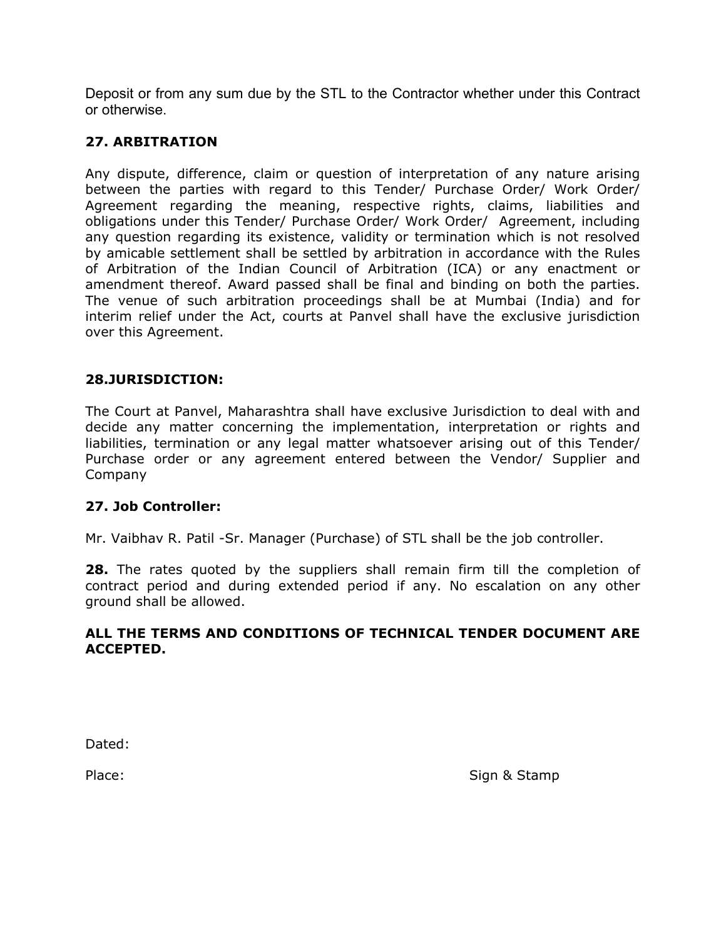Deposit or from any sum due by the STL to the Contractor whether under this Contract or otherwise.

## **27. ARBITRATION**

Any dispute, difference, claim or question of interpretation of any nature arising between the parties with regard to this Tender/ Purchase Order/ Work Order/ Agreement regarding the meaning, respective rights, claims, liabilities and obligations under this Tender/ Purchase Order/ Work Order/ Agreement, including any question regarding its existence, validity or termination which is not resolved by amicable settlement shall be settled by arbitration in accordance with the Rules of Arbitration of the Indian Council of Arbitration (ICA) or any enactment or amendment thereof. Award passed shall be final and binding on both the parties. The venue of such arbitration proceedings shall be at Mumbai (India) and for interim relief under the Act, courts at Panvel shall have the exclusive jurisdiction over this Agreement.

#### **28.JURISDICTION:**

The Court at Panvel, Maharashtra shall have exclusive Jurisdiction to deal with and decide any matter concerning the implementation, interpretation or rights and liabilities, termination or any legal matter whatsoever arising out of this Tender/ Purchase order or any agreement entered between the Vendor/ Supplier and Company

#### **27. Job Controller:**

Mr. Vaibhav R. Patil -Sr. Manager (Purchase) of STL shall be the job controller.

**28.** The rates quoted by the suppliers shall remain firm till the completion of contract period and during extended period if any. No escalation on any other ground shall be allowed.

#### **ALL THE TERMS AND CONDITIONS OF TECHNICAL TENDER DOCUMENT ARE ACCEPTED.**

Dated:

Place: Sign & Stamp Place: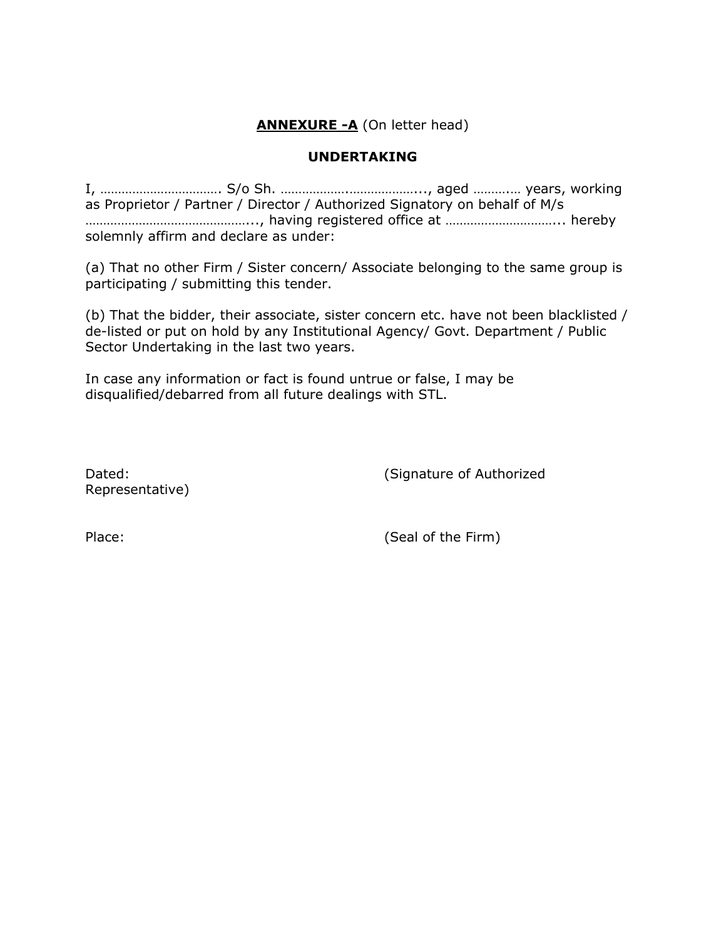# **ANNEXURE -A (On letter head)**

#### **UNDERTAKING**

I, ……………………………. S/o Sh. ……………….………………..., aged ……….… years, working as Proprietor / Partner / Director / Authorized Signatory on behalf of M/s ………………………………………..., having registered office at …………………………... hereby solemnly affirm and declare as under:

(a) That no other Firm / Sister concern/ Associate belonging to the same group is participating / submitting this tender.

(b) That the bidder, their associate, sister concern etc. have not been blacklisted / de-listed or put on hold by any Institutional Agency/ Govt. Department / Public Sector Undertaking in the last two years.

In case any information or fact is found untrue or false, I may be disqualified/debarred from all future dealings with STL.

Representative)

Dated: Dated: Contract Contract Contract Contract Contract Contract Contract Contract Contract Contract Contract Contract Contract Contract Contract Contract Contract Contract Contract Contract Contract Contract Contract C

Place: (Seal of the Firm)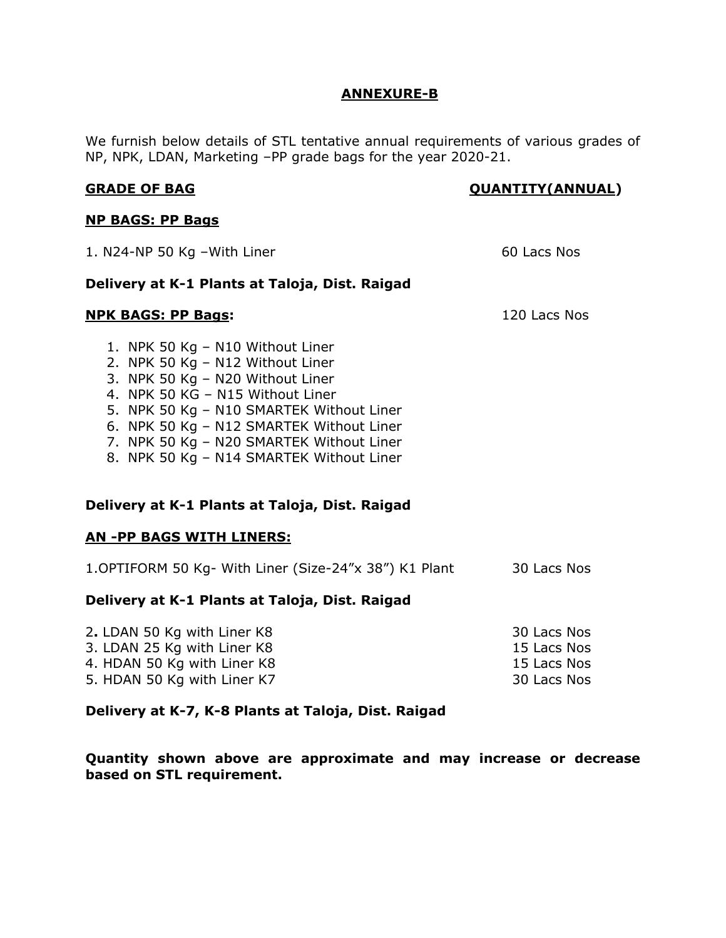#### **ANNEXURE-B**

We furnish below details of STL tentative annual requirements of various grades of NP, NPK, LDAN, Marketing –PP grade bags for the year 2020-21.

## **GRADE OF BAG CONSERVERSE CONSERVERSE CONSERVATITY (ANNUAL)**

#### **NP BAGS: PP Bags**

| 1. $N24-NP$ 50 Kg - With Liner                                                                                                                                                                                                                                                                                               | 60 Lacs Nos  |  |  |  |
|------------------------------------------------------------------------------------------------------------------------------------------------------------------------------------------------------------------------------------------------------------------------------------------------------------------------------|--------------|--|--|--|
| Delivery at K-1 Plants at Taloja, Dist. Raigad                                                                                                                                                                                                                                                                               |              |  |  |  |
| <b>NPK BAGS: PP Bags:</b>                                                                                                                                                                                                                                                                                                    | 120 Lacs Nos |  |  |  |
| 1. NPK 50 Kg – N10 Without Liner<br>2. NPK 50 Kg - N12 Without Liner<br>3. NPK 50 Kg - N20 Without Liner<br>4. NPK 50 KG - N15 Without Liner<br>5. NPK 50 Kg - N10 SMARTEK Without Liner<br>6. NPK 50 Kg - N12 SMARTEK Without Liner<br>7. NPK 50 Kg - N20 SMARTEK Without Liner<br>8. NPK 50 Kg - N14 SMARTEK Without Liner |              |  |  |  |
| Delivery at K-1 Plants at Taloja, Dist. Raigad                                                                                                                                                                                                                                                                               |              |  |  |  |
| <b>AN -PP BAGS WITH LINERS:</b>                                                                                                                                                                                                                                                                                              |              |  |  |  |

| 1. OPTIFORM 50 Kg- With Liner (Size-24"x 38") K1 Plant<br>30 Lacs Nos |  |
|-----------------------------------------------------------------------|--|
|-----------------------------------------------------------------------|--|

#### **Delivery at K-1 Plants at Taloja, Dist. Raigad**

| 2. LDAN 50 Kg with Liner K8 | 30 Lacs Nos |
|-----------------------------|-------------|
| 3. LDAN 25 Kg with Liner K8 | 15 Lacs Nos |
| 4. HDAN 50 Kg with Liner K8 | 15 Lacs Nos |
| 5. HDAN 50 Kg with Liner K7 | 30 Lacs Nos |

**Delivery at K-7, K-8 Plants at Taloja, Dist. Raigad** 

**Quantity shown above are approximate and may increase or decrease based on STL requirement.**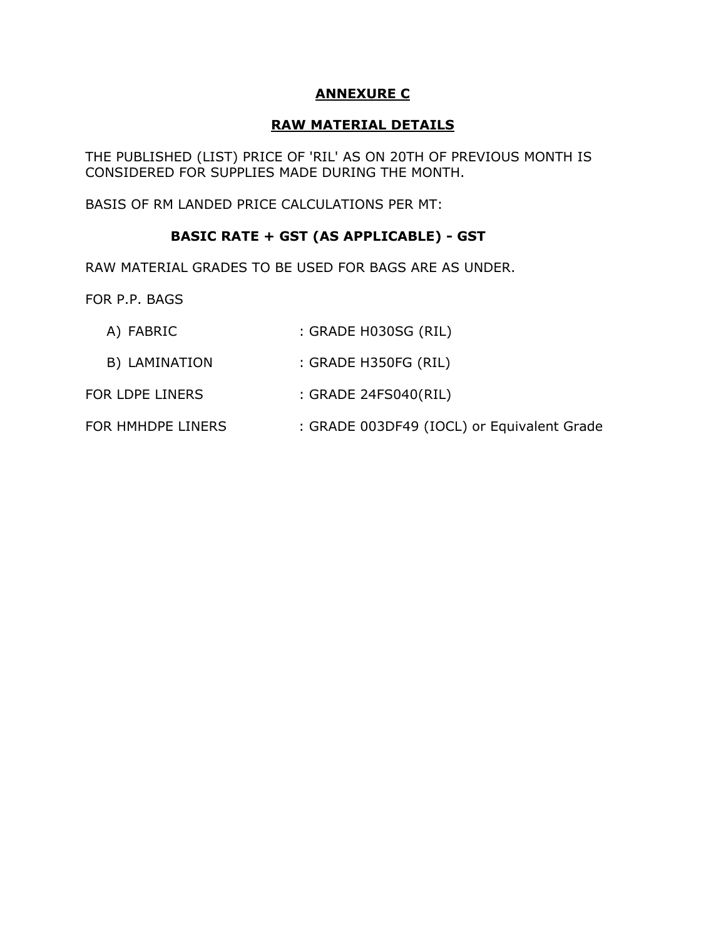## **ANNEXURE C**

## **RAW MATERIAL DETAILS**

THE PUBLISHED (LIST) PRICE OF 'RIL' AS ON 20TH OF PREVIOUS MONTH IS CONSIDERED FOR SUPPLIES MADE DURING THE MONTH.

BASIS OF RM LANDED PRICE CALCULATIONS PER MT:

## **BASIC RATE + GST (AS APPLICABLE) - GST**

RAW MATERIAL GRADES TO BE USED FOR BAGS ARE AS UNDER.

FOR P.P. BAGS

- A) FABRIC : GRADE H030SG (RIL)
- B) LAMINATION : GRADE H350FG (RIL)
- FOR LDPE LINERS : GRADE 24FS040(RIL)
- FOR HMHDPE LINERS : GRADE 003DF49 (IOCL) or Equivalent Grade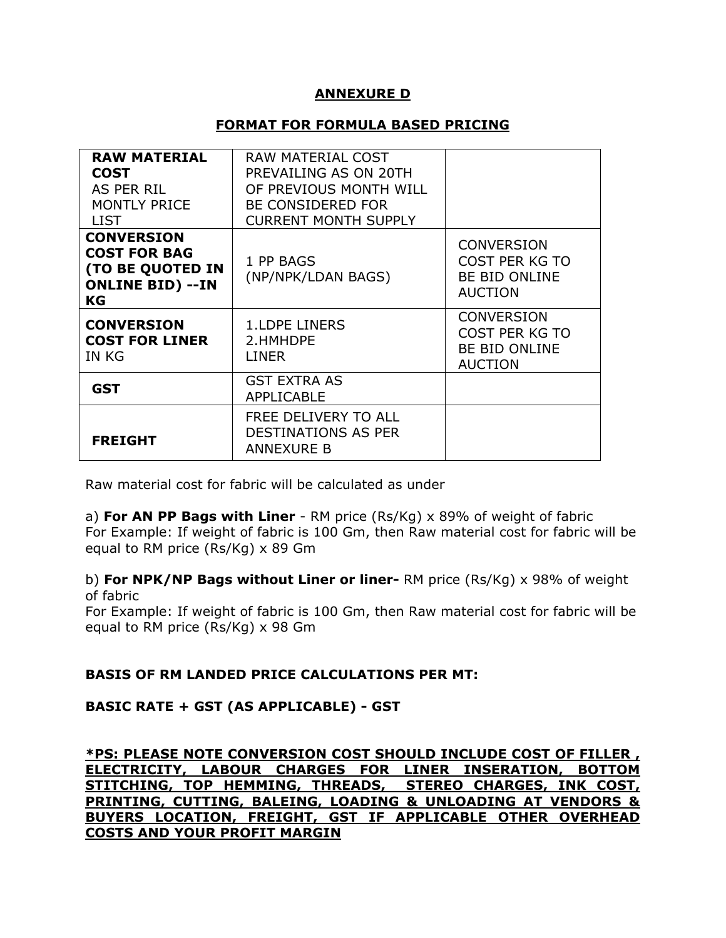## **ANNEXURE D**

#### **FORMAT FOR FORMULA BASED PRICING**

| <b>RAW MATERIAL</b>                                                                                         | RAW MATERIAL COST                                                       |                                                                               |
|-------------------------------------------------------------------------------------------------------------|-------------------------------------------------------------------------|-------------------------------------------------------------------------------|
| <b>COST</b>                                                                                                 | PREVAILING AS ON 20TH                                                   |                                                                               |
| AS PER RIL                                                                                                  | OF PREVIOUS MONTH WILL                                                  |                                                                               |
| <b>MONTLY PRICE</b>                                                                                         | <b>BE CONSIDERED FOR</b>                                                |                                                                               |
| <b>LIST</b>                                                                                                 | <b>CURRENT MONTH SUPPLY</b>                                             |                                                                               |
| <b>CONVERSION</b><br><b>COST FOR BAG</b><br><b>(TO BE QUOTED IN</b><br><b>ONLINE BID) --IN</b><br><b>KG</b> | 1 PP BAGS<br>(NP/NPK/LDAN BAGS)                                         | <b>CONVERSION</b><br>COST PER KG TO<br><b>BE BID ONLINE</b><br><b>AUCTION</b> |
| <b>CONVERSION</b><br><b>COST FOR LINER</b><br>IN KG                                                         | <b>1.LDPE LINERS</b><br>2.HMHDPE<br><b>LINER</b>                        | <b>CONVERSION</b><br>COST PER KG TO<br><b>BE BID ONLINE</b><br><b>AUCTION</b> |
| <b>GST</b>                                                                                                  | <b>GST EXTRA AS</b><br><b>APPLICABLE</b>                                |                                                                               |
| <b>FREIGHT</b>                                                                                              | FREE DELIVERY TO ALL<br><b>DESTINATIONS AS PER</b><br><b>ANNEXURE B</b> |                                                                               |

Raw material cost for fabric will be calculated as under

a) **For AN PP Bags with Liner** - RM price (Rs/Kg) x 89% of weight of fabric For Example: If weight of fabric is 100 Gm, then Raw material cost for fabric will be equal to RM price (Rs/Kg) x 89 Gm

b) **For NPK/NP Bags without Liner or liner-** RM price (Rs/Kg) x 98% of weight of fabric

For Example: If weight of fabric is 100 Gm, then Raw material cost for fabric will be equal to RM price (Rs/Kg) x 98 Gm

## **BASIS OF RM LANDED PRICE CALCULATIONS PER MT:**

## **BASIC RATE + GST (AS APPLICABLE) - GST**

**\*PS: PLEASE NOTE CONVERSION COST SHOULD INCLUDE COST OF FILLER , ELECTRICITY, LABOUR CHARGES FOR LINER INSERATION, BOTTOM STITCHING, TOP HEMMING, THREADS, STEREO CHARGES, INK COST, PRINTING, CUTTING, BALEING, LOADING & UNLOADING AT VENDORS & BUYERS LOCATION, FREIGHT, GST IF APPLICABLE OTHER OVERHEAD COSTS AND YOUR PROFIT MARGIN**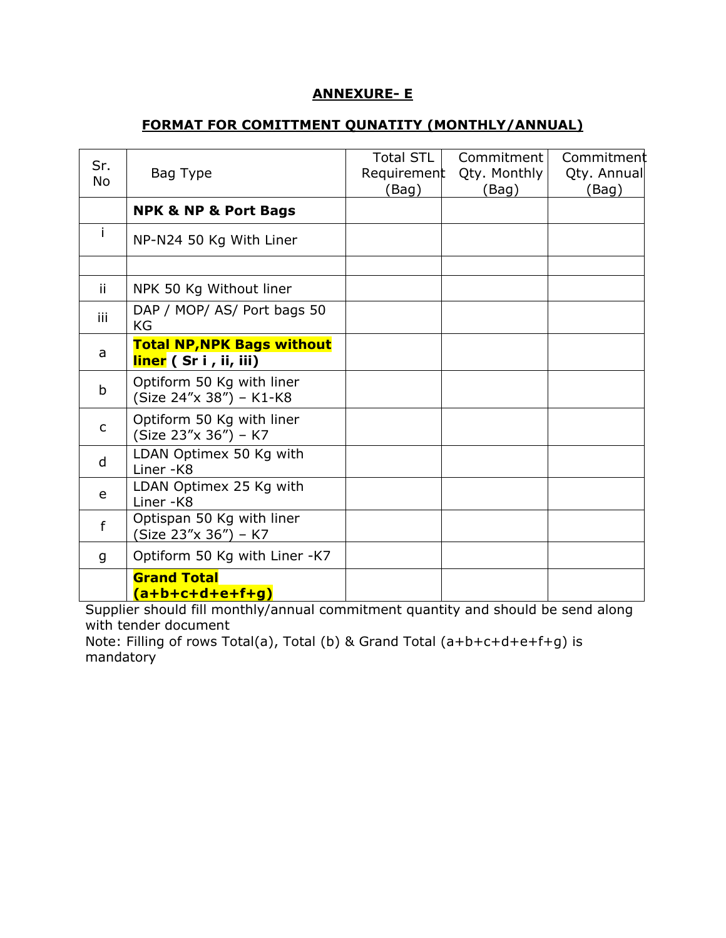## **ANNEXURE- E**

## **FORMAT FOR COMITTMENT QUNATITY (MONTHLY/ANNUAL)**

| Sr.<br><b>No</b> | Bag Type                                                   | <b>Total STL</b><br>Requirement | Commitment<br>Qty. Monthly | Commitment<br>Qty. Annual |
|------------------|------------------------------------------------------------|---------------------------------|----------------------------|---------------------------|
|                  |                                                            | (Bag)                           | (Bag)                      | (Bag)                     |
|                  | <b>NPK &amp; NP &amp; Port Bags</b>                        |                                 |                            |                           |
|                  | NP-N24 50 Kg With Liner                                    |                                 |                            |                           |
|                  |                                                            |                                 |                            |                           |
| ii.              | NPK 50 Kg Without liner                                    |                                 |                            |                           |
| iii              | DAP / MOP/ AS/ Port bags 50<br>KG                          |                                 |                            |                           |
| a                | <b>Total NP, NPK Bags without</b><br>liner (Sr i, ii, iii) |                                 |                            |                           |
| b                | Optiform 50 Kg with liner<br>(Size 24"x 38") - K1-K8       |                                 |                            |                           |
| C                | Optiform 50 Kg with liner<br>(Size 23"x 36") - K7          |                                 |                            |                           |
| d                | LDAN Optimex 50 Kg with<br>Liner-K8                        |                                 |                            |                           |
| e                | LDAN Optimex 25 Kg with<br>Liner-K8                        |                                 |                            |                           |
| f                | Optispan 50 Kg with liner<br>(Size 23"x 36") – K7          |                                 |                            |                           |
| g                | Optiform 50 Kg with Liner -K7                              |                                 |                            |                           |
|                  | <b>Grand Total</b><br>a+b+c+d+e+f+g)                       |                                 |                            |                           |

Supplier should fill monthly/annual commitment quantity and should be send along with tender document

Note: Filling of rows Total(a), Total (b) & Grand Total (a+b+c+d+e+f+g) is mandatory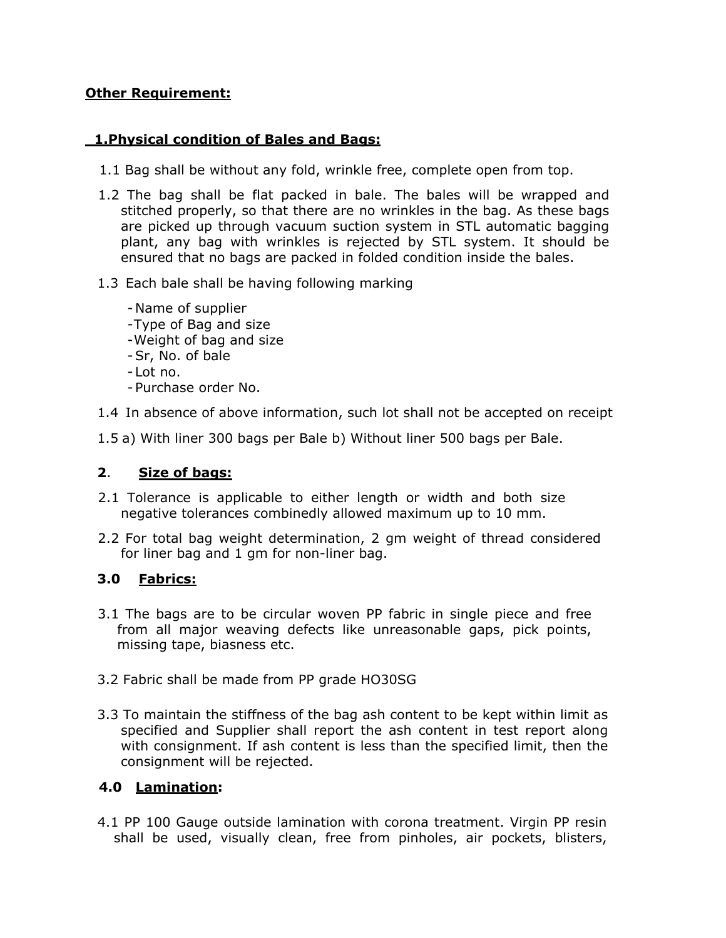## **Other Requirement:**

# **1.Physical condition of Bales and Bags:**

- 1.1 Bag shall be without any fold, wrinkle free, complete open from top.
- 1.2 The bag shall be flat packed in bale. The bales will be wrapped and stitched properly, so that there are no wrinkles in the bag. As these bags are picked up through vacuum suction system in STL automatic bagging plant, any bag with wrinkles is rejected by STL system. It should be ensured that no bags are packed in folded condition inside the bales.

## 1.3 Each bale shall be having following marking

- -Name of supplier
- -Type of Bag and size
- -Weight of bag and size
- -Sr, No. of bale
- Lot no.
- -Purchase order No.
- 1.4 In absence of above information, such lot shall not be accepted on receipt
- 1.5 a) With liner 300 bags per Bale b) Without liner 500 bags per Bale.

## **2**. **Size of bags:**

- 2.1 Tolerance is applicable to either length or width and both size negative tolerances combinedly allowed maximum up to 10 mm.
- 2.2 For total bag weight determination, 2 gm weight of thread considered for liner bag and 1 gm for non-liner bag.

# **3.0 Fabrics:**

- 3.1 The bags are to be circular woven PP fabric in single piece and free from all major weaving defects like unreasonable gaps, pick points, missing tape, biasness etc.
- 3.2 Fabric shall be made from PP grade HO30SG
- 3.3 To maintain the stiffness of the bag ash content to be kept within limit as specified and Supplier shall report the ash content in test report along with consignment. If ash content is less than the specified limit, then the consignment will be rejected.

# **4.0 Lamination:**

4.1 PP 100 Gauge outside lamination with corona treatment. Virgin PP resin shall be used, visually clean, free from pinholes, air pockets, blisters,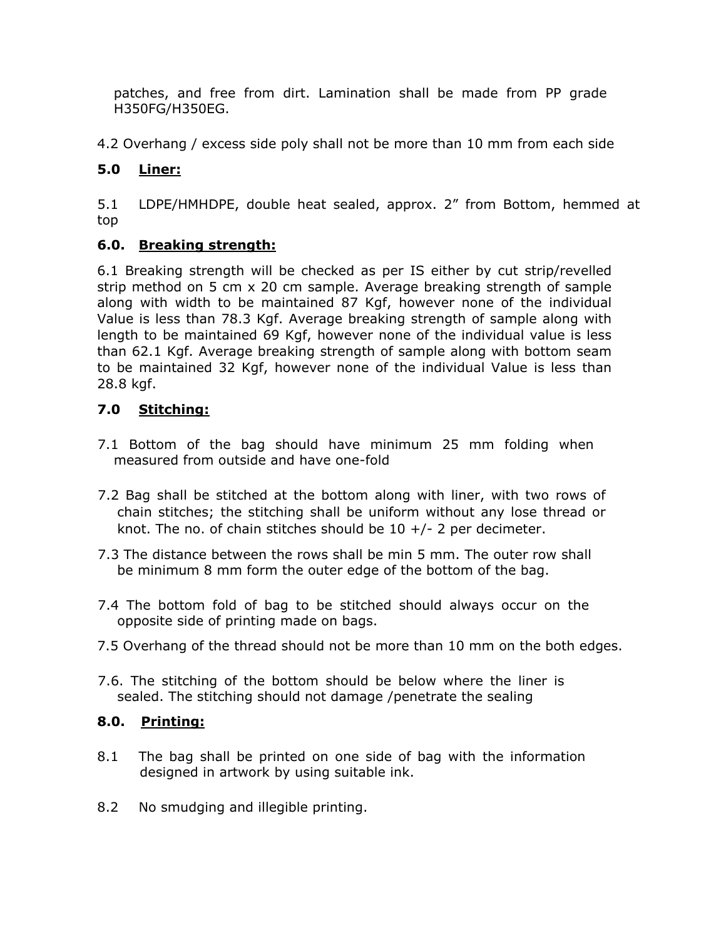patches, and free from dirt. Lamination shall be made from PP grade H350FG/H350EG.

4.2 Overhang / excess side poly shall not be more than 10 mm from each side

# **5.0 Liner:**

5.1 LDPE/HMHDPE, double heat sealed, approx. 2" from Bottom, hemmed at top

# **6.0. Breaking strength:**

6.1 Breaking strength will be checked as per IS either by cut strip/revelled strip method on 5 cm x 20 cm sample. Average breaking strength of sample along with width to be maintained 87 Kgf, however none of the individual Value is less than 78.3 Kgf. Average breaking strength of sample along with length to be maintained 69 Kgf, however none of the individual value is less than 62.1 Kgf. Average breaking strength of sample along with bottom seam to be maintained 32 Kgf, however none of the individual Value is less than 28.8 kgf.

# **7.0 Stitching:**

- 7.1 Bottom of the bag should have minimum 25 mm folding when measured from outside and have one-fold
- 7.2 Bag shall be stitched at the bottom along with liner, with two rows of chain stitches; the stitching shall be uniform without any lose thread or knot. The no. of chain stitches should be  $10 +/- 2$  per decimeter.
- 7.3 The distance between the rows shall be min 5 mm. The outer row shall be minimum 8 mm form the outer edge of the bottom of the bag.
- 7.4 The bottom fold of bag to be stitched should always occur on the opposite side of printing made on bags.
- 7.5 Overhang of the thread should not be more than 10 mm on the both edges.
- 7.6. The stitching of the bottom should be below where the liner is sealed. The stitching should not damage /penetrate the sealing

# **8.0. Printing:**

- 8.1 The bag shall be printed on one side of bag with the information designed in artwork by using suitable ink.
- 8.2 No smudging and illegible printing.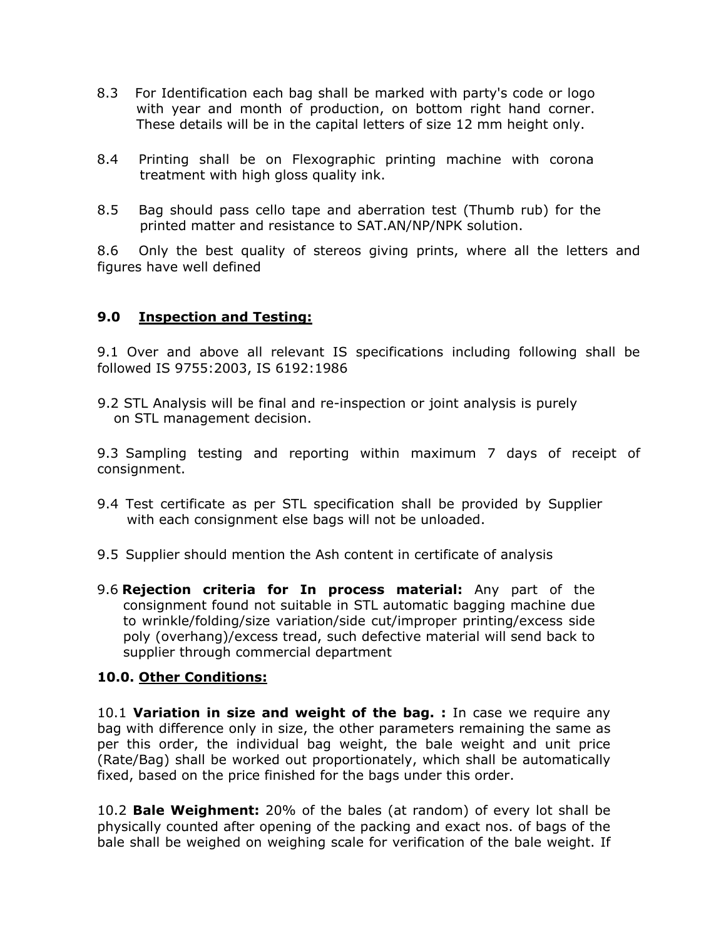- 8.3 For Identification each bag shall be marked with party's code or logo with year and month of production, on bottom right hand corner. These details will be in the capital letters of size 12 mm height only.
- 8.4 Printing shall be on Flexographic printing machine with corona treatment with high gloss quality ink.
- 8.5 Bag should pass cello tape and aberration test (Thumb rub) for the printed matter and resistance to SAT.AN/NP/NPK solution.

8.6 Only the best quality of stereos giving prints, where all the letters and figures have well defined

## **9.0 Inspection and Testing:**

9.1 Over and above all relevant IS specifications including following shall be followed IS 9755:2003, IS 6192:1986

9.2 STL Analysis will be final and re-inspection or joint analysis is purely on STL management decision.

9.3 Sampling testing and reporting within maximum 7 days of receipt of consignment.

- 9.4 Test certificate as per STL specification shall be provided by Supplier with each consignment else bags will not be unloaded.
- 9.5 Supplier should mention the Ash content in certificate of analysis
- 9.6 **Rejection criteria for In process material:** Any part of the consignment found not suitable in STL automatic bagging machine due to wrinkle/folding/size variation/side cut/improper printing/excess side poly (overhang)/excess tread, such defective material will send back to supplier through commercial department

## **10.0. Other Conditions:**

10.1 **Variation in size and weight of the bag. :** In case we require any bag with difference only in size, the other parameters remaining the same as per this order, the individual bag weight, the bale weight and unit price (Rate/Bag) shall be worked out proportionately, which shall be automatically fixed, based on the price finished for the bags under this order.

10.2 **Bale Weighment:** 20% of the bales (at random) of every lot shall be physically counted after opening of the packing and exact nos. of bags of the bale shall be weighed on weighing scale for verification of the bale weight. If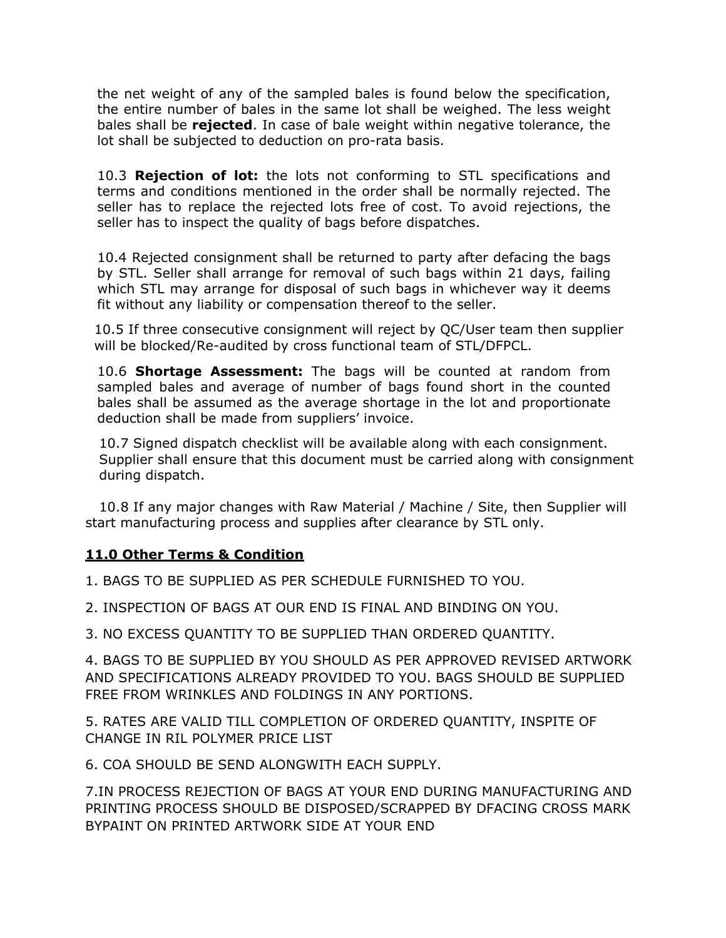the net weight of any of the sampled bales is found below the specification, the entire number of bales in the same lot shall be weighed. The less weight bales shall be **rejected**. In case of bale weight within negative tolerance, the lot shall be subjected to deduction on pro-rata basis.

10.3 **Rejection of lot:** the lots not conforming to STL specifications and terms and conditions mentioned in the order shall be normally rejected. The seller has to replace the rejected lots free of cost. To avoid rejections, the seller has to inspect the quality of bags before dispatches.

10.4 Rejected consignment shall be returned to party after defacing the bags by STL. Seller shall arrange for removal of such bags within 21 days, failing which STL may arrange for disposal of such bags in whichever way it deems fit without any liability or compensation thereof to the seller.

10.5 If three consecutive consignment will reject by QC/User team then supplier will be blocked/Re-audited by cross functional team of STL/DFPCL.

10.6 **Shortage Assessment:** The bags will be counted at random from sampled bales and average of number of bags found short in the counted bales shall be assumed as the average shortage in the lot and proportionate deduction shall be made from suppliers' invoice.

 10.7 Signed dispatch checklist will be available along with each consignment. Supplier shall ensure that this document must be carried along with consignment during dispatch.

 10.8 If any major changes with Raw Material / Machine / Site, then Supplier will start manufacturing process and supplies after clearance by STL only.

## **11.0 Other Terms & Condition**

1. BAGS TO BE SUPPLIED AS PER SCHEDULE FURNISHED TO YOU.

2. INSPECTION OF BAGS AT OUR END IS FINAL AND BINDING ON YOU.

3. NO EXCESS QUANTITY TO BE SUPPLIED THAN ORDERED QUANTITY.

4. BAGS TO BE SUPPLIED BY YOU SHOULD AS PER APPROVED REVISED ARTWORK AND SPECIFICATIONS ALREADY PROVIDED TO YOU. BAGS SHOULD BE SUPPLIED FREE FROM WRINKLES AND FOLDINGS IN ANY PORTIONS.

5. RATES ARE VALID TILL COMPLETION OF ORDERED QUANTITY, INSPITE OF CHANGE IN RIL POLYMER PRICE LIST

6. COA SHOULD BE SEND ALONGWITH EACH SUPPLY.

7.IN PROCESS REJECTION OF BAGS AT YOUR END DURING MANUFACTURING AND PRINTING PROCESS SHOULD BE DISPOSED/SCRAPPED BY DFACING CROSS MARK BYPAINT ON PRINTED ARTWORK SIDE AT YOUR END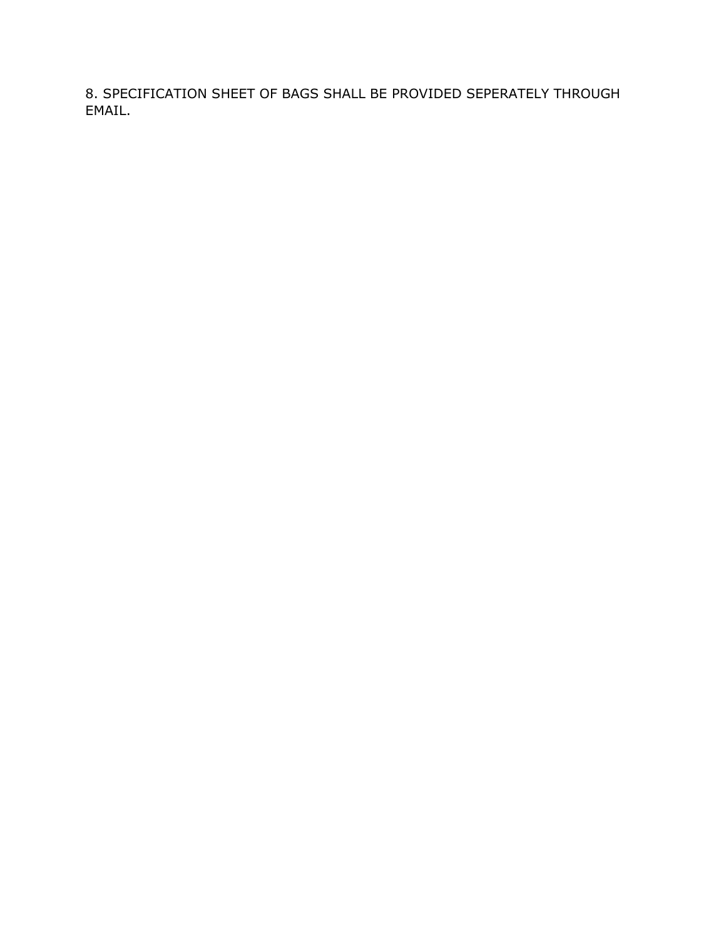8. SPECIFICATION SHEET OF BAGS SHALL BE PROVIDED SEPERATELY THROUGH EMAIL.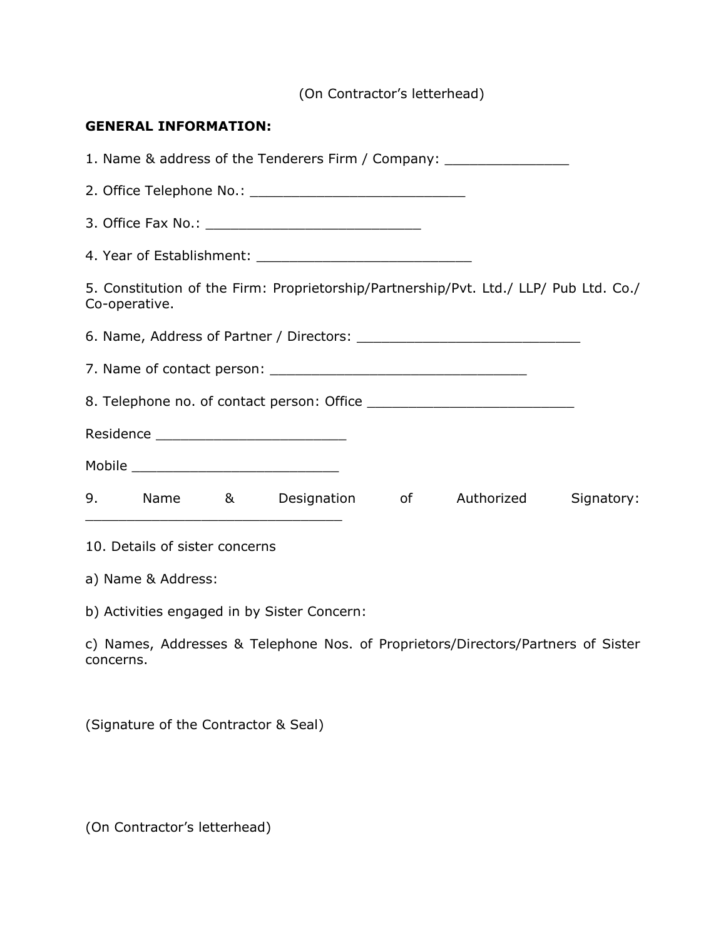(On Contractor's letterhead)

#### **GENERAL INFORMATION:**

1. Name & address of the Tenderers Firm / Company: \_\_\_\_\_\_\_\_\_\_\_\_\_\_\_\_\_\_\_\_\_\_\_\_\_\_\_\_\_ 2. Office Telephone No.: \_\_\_\_\_\_\_\_\_\_\_\_\_\_\_\_\_\_\_\_\_\_\_\_\_\_ 3. Office Fax No.: \_\_\_\_\_\_\_\_\_\_\_\_\_\_\_\_\_\_\_\_\_\_\_\_\_\_ 4. Year of Establishment: **All any of Establishment**: 5. Constitution of the Firm: Proprietorship/Partnership/Pvt. Ltd./ LLP/ Pub Ltd. Co./ Co-operative. 6. Name, Address of Partner / Directors: \_\_\_\_\_\_\_\_\_\_\_\_\_\_\_\_\_\_\_\_\_\_\_\_\_\_\_ 7. Name of contact person: \_\_\_\_\_\_\_\_\_\_\_\_\_\_\_\_\_\_\_\_\_\_\_\_\_\_\_\_\_\_\_ 8. Telephone no. of contact person: Office \_\_\_\_\_\_\_\_\_\_\_\_\_\_\_\_\_\_\_\_\_\_\_\_\_ Residence \_\_\_\_\_\_\_\_\_\_\_\_\_\_\_\_\_\_\_\_\_\_\_ Mobile \_\_\_\_\_\_\_\_\_\_\_\_\_\_\_\_\_\_\_\_\_\_\_\_\_ 9. Name & Designation of Authorized Signatory: \_\_\_\_\_\_\_\_\_\_\_\_\_\_\_\_\_\_\_\_\_\_\_\_\_\_\_\_\_\_\_ 10. Details of sister concerns a) Name & Address: b) Activities engaged in by Sister Concern: c) Names, Addresses & Telephone Nos. of Proprietors/Directors/Partners of Sister concerns.

(Signature of the Contractor & Seal)

(On Contractor's letterhead)